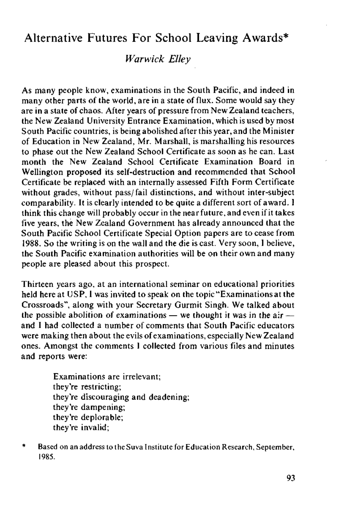## Alternative Futures For School Leaving Awards\*

## *Warwick Elley*

As many people know, examinations in the South Pacific, and indeed in many other parts of the world, are in a state of flux. Some would say they are in a state of chaos. After years of pressure from New Zealand teachers, the New Zealand University Entrance Examination, which is used by most South Pacific countries, is being abolished after this year, and the Minister of Education in New Zealand, Mr. Marshall, is marshalling his resources to phase out the New Zealand School Certificate as soon as he can. Last month the New Zealand School Certificate Examination Board in Wellington proposed its self-destruction and recommended that School Certificate be replaced with an internally assessed Fifth Form Certificate without grades, without pass/fail distinctions, and without inter-subject comparability. It is clearly intended to be quite a different sort of award. I think this change will probably occur in the near future, and even if it takes five years, the New Zealand Government has already announced that the South Pacific School Certificate Special Option papers are to cease from 1988. So the writing is on the wall and the die is cast. Very soon, I believe, the South Pacific examination authorities will be on their own and many people are pleased about this prospect.

Thirteen years ago, at an international seminar on educational priorities held here at USP, I was invited to speak on the topic "Examinations at the Crossroads", along with your Secretary Gurmit Singh. We talked about the possible abolition of examinations — we thought it was in the air and I had collected a number of comments that South Pacific educators were making then about the evils of examinations, especially New Zealand ones. Amongst the comments I collected from various files and minutes and reports were:

> Examinations are irrelevant; they're restricting; they're discouraging and deadening; they're dampening; they're deplorable; they're invalid;

\* Based on an address to the Suva Institute for Education Research, September, 1985.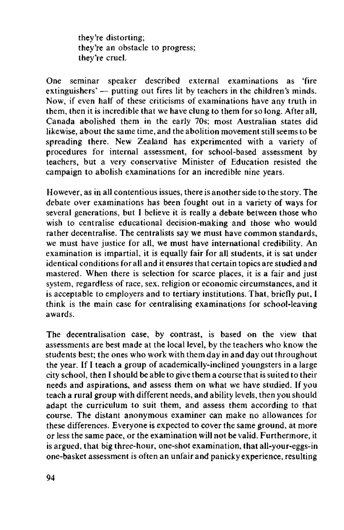they're distorting; they're an obstacle to progress; they're cruel.

One seminar speaker described external examinations as 'fire extinguishers' — putting out fires lit by teachers in the children's minds. Now, if even half of these criticisms of examinations have any truth in them, then it is incredible that we have clung to them for so long. After all, Canada abolished them in the early 70s; most Australian states did likewise, about the same time, and the abolition movement still seems to be spreading there. New Zealand has experimented with a variety of procedures for internal assessment, for school-based assessment by teachers, but a very conservative Minister of Education resisted the campaign to abolish examinations for an incredible nine years.

However, as in all contentious issues, there is another side to the story. The debate over examinations has been fought out in a variety of ways for several generations, but I believe it is really a debate between those who wish to centralise educational decision-making and those who would rather decentralise. The centralists say we must have common standards, we must have justice for all, we must have international credibility. An examination is impartial, it is equally fair for all students, it is sat under identical conditions for all and it ensures that certain topics are studied and mastered. When there is selection for scarce places, it is a fair and just system, regardless of race, sex, religion or economic circumstances, and it is acceptable to employers and to tertiary institutions. That, briefly put, I think is the main case for centralising examinations for school-leaving awards.

The decentralisation case, by contrast, is based on the view that assessments are best made at the local level, by the teachers who know the students best; the ones who work with them day in and day out throughout the year. If I teach a group of academically-inclined youngsters in a large city school, then I should be able to give them a course that is suited to their needs and aspirations, and assess them on what we have studied. If you teach a rural group with different needs, and ability levels, then you should adapt the curriculum to suit them, and assess them according to that course. The distant anonymous examiner can make no allowances for these differences. Everyone is expected to cover the same ground, at more or less the same pace, or the examination will not be valid. Furthermore, it is argued, that big three-hour, one-shot examination, that all-your-eggs-in one-basket assessment is often an unfair and panicky experience, resulting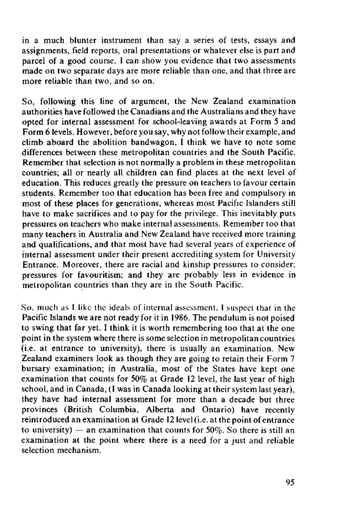in a much blunter instrument than say a series of tests, essays and assignments, field reports, oral presentations or whatever else is part and parcel of a good course. I can show you evidence that two assessments made on two separate days are more reliable than one, and that three are more reliable than two, and so on.

So, following this line of argument, the New Zealand examination authorities have followed the Canadians and the Australians and they have opted for internal assessment for school-leaving awards at Form 5 and Form 6 levels. However, before you say, why not follow their example, and climb aboard the abolition bandwagon, I think we have to note some differences between these metropolitan countries and the South Pacific. Remember that selection is not normally a problem in these metropolitan countries; all or nearly all children can find places at the next level of education. This reduces greatly the pressure on teachers to favour certain students. Remember too that education has been free and compulsory in most of these places for generations, whereas most Pacific Islanders still have to make sacrifices and to pay for the privilege. This inevitably puts pressures on teachers who make internal assessments. Remember too that many teachers in Australia and New Zealand have received more training and qualifications, and that most have had several years of experience of internal assessment under their present accrediting system for University Entrance. Moreover, there are racial and kinship pressures to consider; pressures for favouritism; and they are probably less in evidence in metropolitan countries than they are in the South Pacific.

So, much as I like the ideals of internal assessment, 1 suspect that in the Pacific Islands we are not ready for it in 1986. The pendulum is not poised to swing that far yet. I think it is worth remembering too that at the one point in the system where there is some selection in metropolitan countries (i.e. at entrance to university), there is usually an examination. New Zealand examiners look as though they are going to retain their Form 7 bursary examination; in Australia, most of the States have kept one examination that counts for 50% at Grade 12 level, the last year of high school, and in Canada, (I was in Canada looking at their system last year), they have had internal assessment for more than a decade but three provinces (British Columbia, Alberta and Ontario) have recently reintroduced an examination at Grade 12 level (i.e. at the point of entrance to university) — an examination that counts for  $50\%$ . So there is still an examination at the point where there is a need for a just and reliable selection mechanism.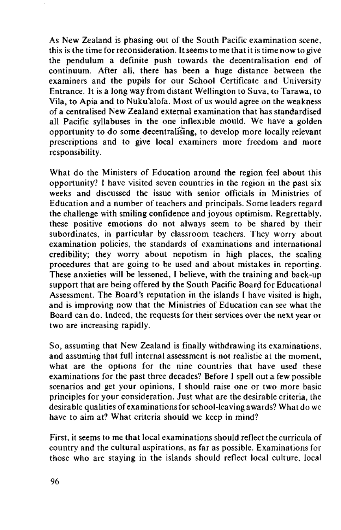As New Zealand is phasing out of the South Pacific examination scene, this is the time for reconsideration. It seems to me that it is time now to give the pendulum a definite push towards the decentralisation end of continuum. After all, there has been a huge distance between the examiners and the pupils for our School Certificate and University Entrance. It is a long way from distant Wellington to Suva, to Tarawa, to Vila, to Apia and to Nuku'alofa. Most of us would agree on the weakness of a centralised New Zealand external examination that has standardised all Pacific syllabuses in the one inflexible mould. We have a golden opportunity to do some decentralising, to develop more locally relevant prescriptions and to give local examiners more freedom and more responsibility.

What do the Ministers of Education around the region feel about this opportunity? I have visited seven countries in the region in the past six weeks and discussed the issue with senior officials in Ministries of Education and a number of teachers and principals. Some leaders regard the challenge with smiling confidence and joyous optimism. Regrettably, these positive emotions do not always seem to be shared by their subordinates, in particular by classroom teachers. They worry about examination policies, the standards of examinations and international credibility; they worry about nepotism in high places, the scaling procedures that are going to be used and about mistakes in reporting. These anxieties will be lessened, I believe, with the training and back-up support that are being offered by the South Pacific Board for Educational Assessment. The Board's reputation in the islands I have visited is high, and is improving now that the Ministries of Education can see what the Board can do. Indeed, the requests for their services over the next year or two are increasing rapidly.

So, assuming that New Zealand is finally withdrawing its examinations, and assuming that full internal assessment is not realistic at the moment, what are the options for the nine countries that have used these examinations for the past three decades? Before I spell out a few possible scenarios and get your opinions, I should raise one or two more basic principles for your consideration. Just what are the desirable criteria, the desirable qualities of examinations for school-leaving awards? What do we have to aim at? What criteria should we keep in mind?

First, it seems to me that local examinations should reflect the curricula of country and the cultural aspirations, as far as possible. Examinations for those who are staying in the islands should reflect local culture, local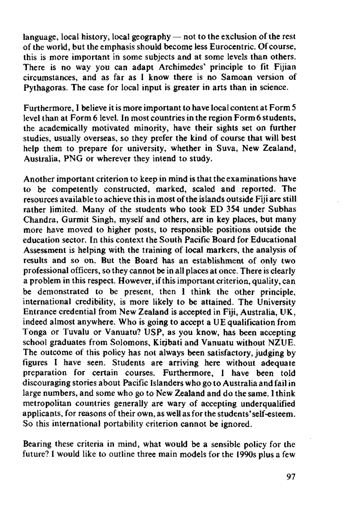language, local history, local geography  $-$  not to the exclusion of the rest of the world, but the emphasis should become less Eurocentric. Of course, this is more important in some subjects and at some levels than others. There is no way you can adapt Archimedes' principle to fit Fijian circumstances, and as far as I know there is no Samoan version of Pythagoras. The case for local input is greater in arts than in science.

Furthermore, I believe it is more important to have local content at Form 5 level than at Form 6 level. In most countries in the region Form 6 students, the academically motivated minority, have their sights set on further studies, usually overseas, so they prefer the kind of course that will best help them to prepare for university, whether in Suva, New Zealand, Australia, PNG or wherever they intend to study.

Another important criterion to keep in mind is that the examinations have to be competently constructed, marked, scaled and reported. The resources available to achieve this in most of the islands outside Fiji are still rather limited. Many of the students who took ED 354 under Subhas Chandra, Gurmit Singh, myself and others, are in key places, but many more have moved to higher posts, to responsible positions outside the education sector. In this context the South Pacific Board for Educational Assessment is helping with the training of local markers, the analysis of results and so on. But the Board has an establishment of only two professional officers, so they cannot be in all places at once. There is clearly a problem in this respect. However, if this important criterion, quality, can be demonstrated to be present, then I think the other principle, international credibility, is more likely to be attained. The University Entrance credential from New Zealand is accepted in Fiji, Australia, UK, indeed almost anywhere. Who is going to accept a UE qualification from Tonga or Tuvalu or Vanuatu? USP, as you know, has been accepting school graduates from Solomons, Kiribati and Vanuatu without NZUE. The outcome of this policy has not always been satisfactory, judging by figures I have seen. Students are arriving here without adequate preparation for certain courses. Furthermore, I have been told discouraging stories about Pacific Islanders who go to Australia and fail in large numbers, and some who go to New Zealand and do the same. I think metropolitan countries generally are wary of accepting underqualified applicants, for reasons of their own, as well as for the students' self-esteem. So this international portability criterion cannot be ignored.

Bearing these criteria in mind, what would be a sensible policy for the future? I would like to outline three main models for the 1990s plus a few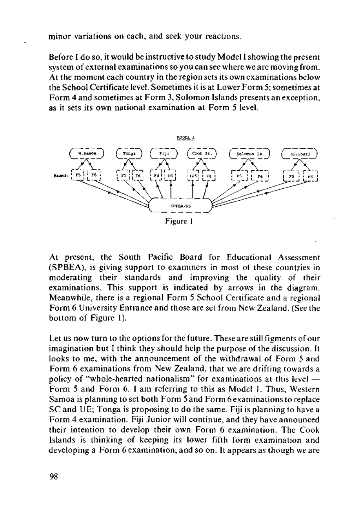minor variations on each, and seek your reactions.

Before I do so, it would be instructive to study Model I showing the present system of external examinations so you can see where we are moving from. At the moment each country in the region sets its own examinations below the School Certificate level. Sometimes it is at Lower Form 5; sometimes at Form 4 and sometimes at Form 3, Solomon Islands presents an exception, as it sets its own national examination at Form 5 level.



At present, the South Pacific Board for Educational Assessment (SPBEA), is giving support to examiners in most of these countries in moderating their standards and improving the quality of their examinations. This support is indicated by arrows in the diagram. Meanwhile, there is a regional Form 5 School Certificate and a regional Form 6 University Entrance and those are set from New Zealand. (See the bottom of Figure 1).

Let us now turn to the options for the future. These are still figments of our imagination but I think they should help the purpose of the discussion. It looks to me, with the announcement of the withdrawal of Form 5 and Form 6 examinations from New Zealand, that we are drifting towards a policy of "whole-hearted nationalism" for examinations at this level — Form 5 and Form 6. I am referring to this as Model 1. Thus, Western Samoa is planning to set both Form 5 and Form 6 examinations to replace SC and UE; Tonga is proposing to do the same. Fiji is planning to have a Form 4 examination. Fiji Junior will continue, and they have announced their intention to develop their own Form 6 examination. The Cook Islands is thinking of keeping its lower fifth form examination and developing a Form 6 examination, and so on. It appears as though we are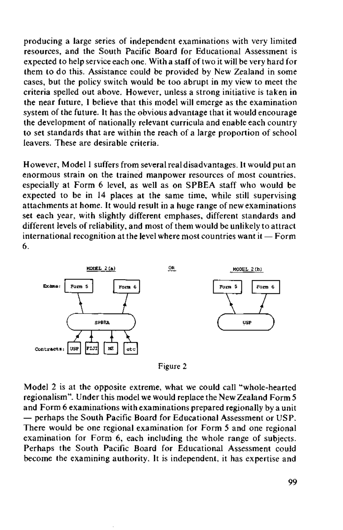producing a large series of independent examinations with very limited resources, and the South Pacific Board for Educational Assessment is expected to help service each one. With a staff of two it will be very hard for them to do this. Assistance could be provided by New Zealand in some cases, but the policy switch would be too abrupt in my view to meet the criteria spelled out above. However, unless a strong initiative is taken in the near future, I believe that this model will emerge as the examination system of the future. It has the obvious advantage that it would encourage the development of nationally relevant curricula and enable each country to set standards that are within the reach of a large proportion of school leavers. These are desirable criteria.

However, Model 1 suffers from several real disadvantages. It would put an enormous strain on the trained manpower resources of most countries, especially at Form 6 level, as well as on SPBEA staff who would be expected to be in 14 places at the same time, while still supervising attachments at home. It would result in a huge range of new examinations set each year, with slightly different emphases, different standards and different levels of reliability, and most of them would be unlikely to attract international recognition at the level where most countries want it — Form 6.



Figure 2

Model 2 is at the opposite extreme, what we could call "whole-hearted regionalism". Under this model we would replace the New Zealand Form 5 and Form 6 examinations with examinations prepared regionally by a unit — perhaps the South Pacific Board for Educational Assessment or USP. There would be one regional examination for Form 5 and one regional examination for Form 6, each including the whole range of subjects. Perhaps the South Pacific Board for Educational Assessment could become the examining authority. It is independent, it has expertise and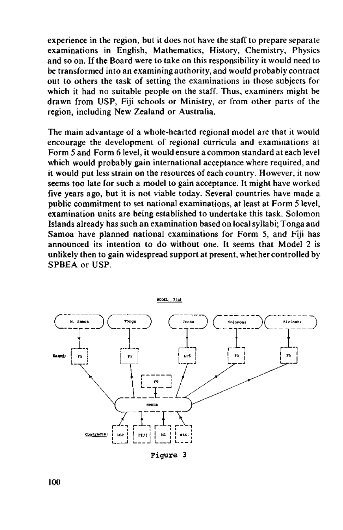experience in the region, but it does not have the staff to prepare separate examinations in English, Mathematics, History, Chemistry, Physics and so on. If the Board were to take on this responsibility it would need to be transformed into an examining authority, and would probably contract out to others the task of setting the examinations in those subjects for which it had no suitable people on the staff. Thus, examiners might be drawn from USP, Fiji schools or Ministry, or from other parts of the region, including New Zealand or Australia.

The main advantage of a whole-hearted regional model are that it would encourage the development of regional curricula and examinations at Form 5 and Form 6 level, it would ensure a common standard at each level which would probably gain international acceptance where required, and it would put less strain on the resources of each country. However, it now seems too late for such a model to gain acceptance. It might have worked five years ago, but it is not viable today. Several countries have made a public commitment to set national examinations, at least at Form 5 level, examination units are being established to undertake this task. Solomon Islands already has such an examination based on local syllabi; Tonga and Samoa have planned national examinations for Form 5, and Fiji has announced its intention to do without one. It seems that Model 2 is unlikely then to gain widespread support at present, whether controlled by SPBEA or USP.



Figure 3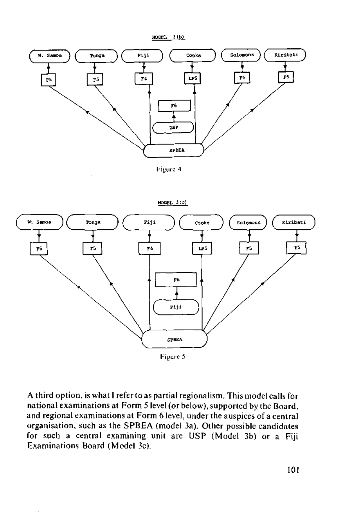

Figure 4



A third option, is what I refer to as partial regionalism. This model calls for national examinations at Form 5 level (or below), supported by the Board, and regional examinations at Form 6 level, under the auspices of a central organisation, such as the SPBEA (model 3a). Other possible candidates for such a central examining unit are USP (Model 3b) or a Fiji

Examinations Board (Model 3c).

101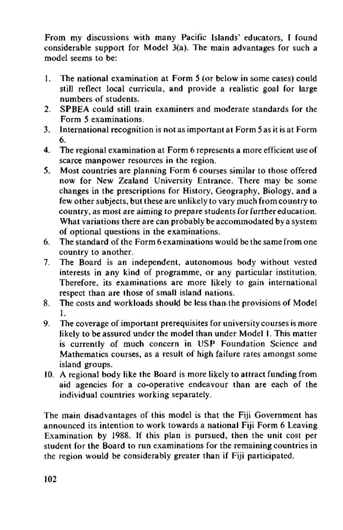From my discussions with many Pacific Islands' educators, I found considerable support for Model 3(a). The main advantages for such a model seems to be:

- 1. The national examination at Form 5 (or below in some cases) could still reflect local curricula, and provide a realistic goal for large numbers of students.
- 2. SPBEA could still train examiners and moderate standards for the Form 5 examinations.
- 3. International recognition is not as important at Form 5 as it is at Form 6.
- 4. The regional examination at Form 6 represents a more efficient use of scarce manpower resources in the region.
- 5. Most countries are planning Form 6 courses similar to those offered now for New Zealand University Entrance. There may be some changes in the prescriptions for History, Geography, Biology, and a few other subjects, but these are unlikely to vary much from country to country, as most are aiming to prepare students for further education. What variations there are can probably be accommodated by a system of optional questions in the examinations.
- 6. The standard of the Form 6 examinations would be the same from one country to another.
- 7. The Board is an independent, autonomous body without vested interests in any kind of programme, or any particular institution. Therefore, its examinations are more likely to gain international respect than are those of small island nations.
- 8. The costs and workloads should be less than-the provisions of Model 1.
- 9. The coverage of important prerequisites for university courses is more likely to be assured under the model than under Model 1. This matter is currently of much concern in USP Foundation Science and Mathematics courses, as a result of high failure rates amongst some island groups.
- 10. A regional body like the Board is more likely to attract funding from aid agencies for a co-operative endeavour than are each of the individual countries working separately.

The main disadvantages of this model is that the Fiji Government has announced its intention to work towards a national Fiji Form 6 Leaving Examination by 1988. If this plan is pursued, then the unit cost per student for the Board to run examinations for the remaining countries in the region would be considerably greater than if Fiji participated.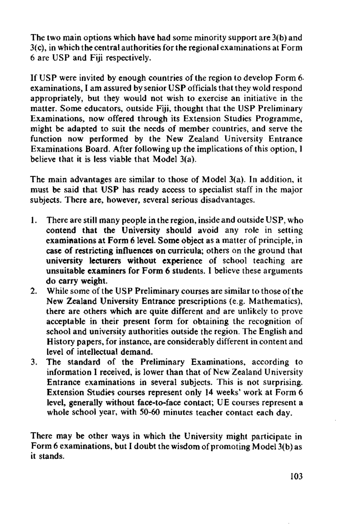The two main options which have had some minority support are 3(b) and 3(c), in which the central authorities for the regional examinations at Form 6 are USP and Fiji respectively.

If USP were invited by enough countries of the region to develop Form 6 examinations, I am assured by senior USP officials that they wold respond appropriately, but they would not wish to exercise an initiative in the matter. Some educators, outside Fiji, thought that the USP Preliminary Examinations, now offered through its Extension Studies Programme, might be adapted to suit the needs of member countries, and serve the function now performed by the New Zealand University Entrance Examinations Board. After following up the implications of this option, I believe that it is less viable that Model 3(a).

The main advantages are similar to those of Model 3(a). In addition, it must be said that USP has ready access to specialist staff in the major subjects. There are, however, several serious disadvantages.

- 1. There are still many people in the region, inside and outside USP, who **contend that the** University **should** avoid any role in setting **examinations at Form 6 level. Some object** as a matter of principle, in **case of restricting influences on curricula;** others on the ground that **university lecturers without experience** of school teaching are **unsuitable examiners for Form 6 students. I** believe these arguments **do carry weight.**
- 2. While some of the USP Preliminary courses are similar to those of the New Zealand University Entrance prescriptions (e.g. Mathematics), there are others which are quite different and are unlikely to prove acceptable in their present form for obtaining the recognition of school and university authorities outside the region. The English and History papers, for instance, are considerably different in content and level of intellectual demand.
- 3. The standard of the Preliminary Examinations, according to information I received, is lower than that of New Zealand University Entrance examinations in several subjects. This is not surprising. Extension Studies courses represent only 14 weeks' work at Form 6 level, generally **without** face-to-face contact; UE courses represent a whole school year, with 50-60 minutes teacher contact each day.

There may be other ways in which the University might participate in Form 6 examinations, but I doubt the wisdom of promoting Model 3(b) as it stands.